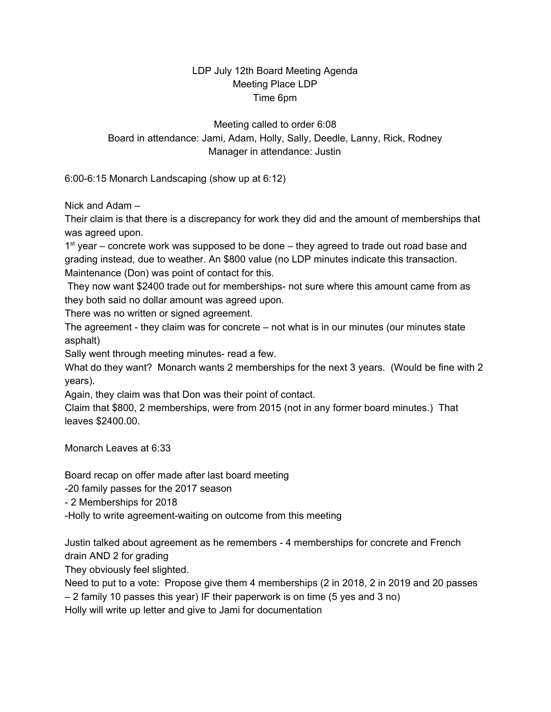## LDP July 12th Board Meeting Agenda Meeting Place LDP Time 6pm

Meeting called to order 6:08 Board in attendance: Jami, Adam, Holly, Sally, Deedle, Lanny, Rick, Rodney Manager in attendance: Justin

6:00-6:15 Monarch Landscaping (show up at 6:12)

Nick and Adam –

Their claim is that there is a discrepancy for work they did and the amount of memberships that was agreed upon.

1<sup>st</sup> year – concrete work was supposed to be done – they agreed to trade out road base and grading instead, due to weather. An \$800 value (no LDP minutes indicate this transaction. Maintenance (Don) was point of contact for this.

They now want \$2400 trade out for memberships- not sure where this amount came from as they both said no dollar amount was agreed upon.

There was no written or signed agreement.

The agreement - they claim was for concrete – not what is in our minutes (our minutes state asphalt)

Sally went through meeting minutes- read a few.

What do they want? Monarch wants 2 memberships for the next 3 years. (Would be fine with 2 years).

Again, they claim was that Don was their point of contact.

Claim that \$800, 2 memberships, were from 2015 (not in any former board minutes.) That leaves \$2400.00.

Monarch Leaves at 6:33

Board recap on offer made after last board meeting

-20 family passes for the 2017 season

- 2 Memberships for 2018

-Holly to write agreement-waiting on outcome from this meeting

Justin talked about agreement as he remembers - 4 memberships for concrete and French drain AND 2 for grading

They obviously feel slighted.

Need to put to a vote: Propose give them 4 memberships (2 in 2018, 2 in 2019 and 20 passes – 2 family 10 passes this year) IF their paperwork is on time (5 yes and 3 no)

Holly will write up letter and give to Jami for documentation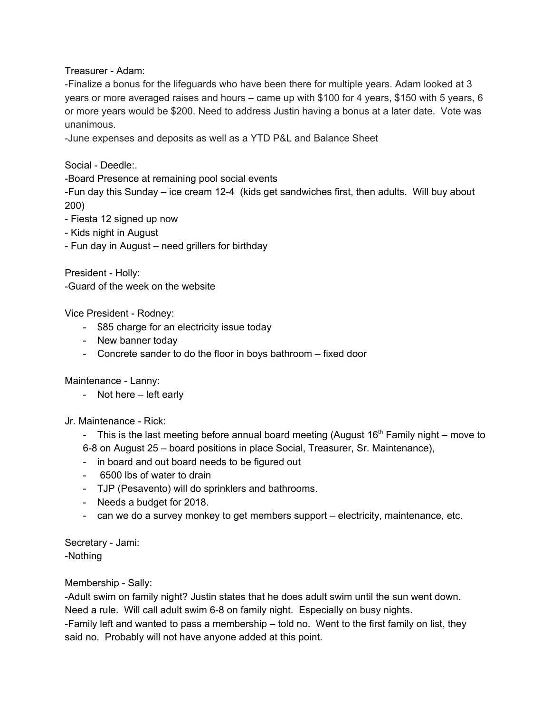Treasurer - Adam:

-Finalize a bonus for the lifeguards who have been there for multiple years. Adam looked at 3 years or more averaged raises and hours – came up with \$100 for 4 years, \$150 with 5 years, 6 or more years would be \$200. Need to address Justin having a bonus at a later date. Vote was unanimous.

-June expenses and deposits as well as a YTD P&L and Balance Sheet

Social - Deedle:.

-Board Presence at remaining pool social events

-Fun day this Sunday – ice cream 12-4 (kids get sandwiches first, then adults. Will buy about 200)

- Fiesta 12 signed up now
- Kids night in August
- Fun day in August need grillers for birthday

President - Holly: -Guard of the week on the website

Vice President - Rodney:

- \$85 charge for an electricity issue today
- New banner today
- Concrete sander to do the floor in boys bathroom fixed door

Maintenance - Lanny:

- Not here left early
- Jr. Maintenance Rick:

- This is the last meeting before annual board meeting (August  $16<sup>th</sup>$  Family night – move to 6-8 on August 25 – board positions in place Social, Treasurer, Sr. Maintenance),

- in board and out board needs to be figured out
- 6500 lbs of water to drain
- TJP (Pesavento) will do sprinklers and bathrooms.
- Needs a budget for 2018.
- can we do a survey monkey to get members support electricity, maintenance, etc.

Secretary - Jami: -Nothing

Membership - Sally:

-Adult swim on family night? Justin states that he does adult swim until the sun went down. Need a rule. Will call adult swim 6-8 on family night. Especially on busy nights.

-Family left and wanted to pass a membership – told no. Went to the first family on list, they said no. Probably will not have anyone added at this point.